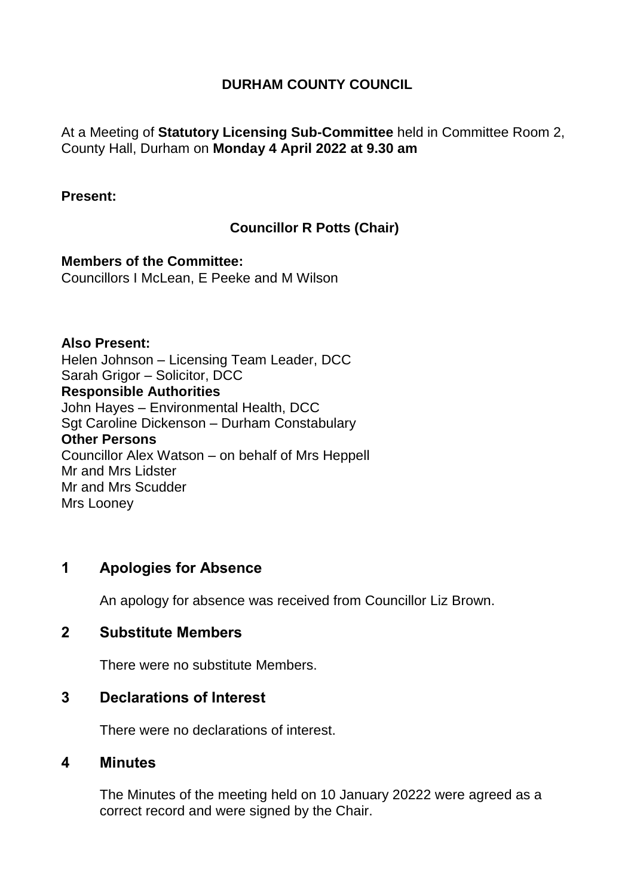# **DURHAM COUNTY COUNCIL**

At a Meeting of **Statutory Licensing Sub-Committee** held in Committee Room 2, County Hall, Durham on **Monday 4 April 2022 at 9.30 am**

#### **Present:**

# **Councillor R Potts (Chair)**

**Members of the Committee:** Councillors I McLean, E Peeke and M Wilson

**Also Present:** Helen Johnson – Licensing Team Leader, DCC Sarah Grigor – Solicitor, DCC **Responsible Authorities** John Hayes – Environmental Health, DCC Sgt Caroline Dickenson – Durham Constabulary **Other Persons** Councillor Alex Watson – on behalf of Mrs Heppell Mr and Mrs Lidster Mr and Mrs Scudder Mrs Looney

# **1 Apologies for Absence**

An apology for absence was received from Councillor Liz Brown.

### **2 Substitute Members**

There were no substitute Members.

### **3 Declarations of Interest**

There were no declarations of interest.

### **4 Minutes**

The Minutes of the meeting held on 10 January 20222 were agreed as a correct record and were signed by the Chair.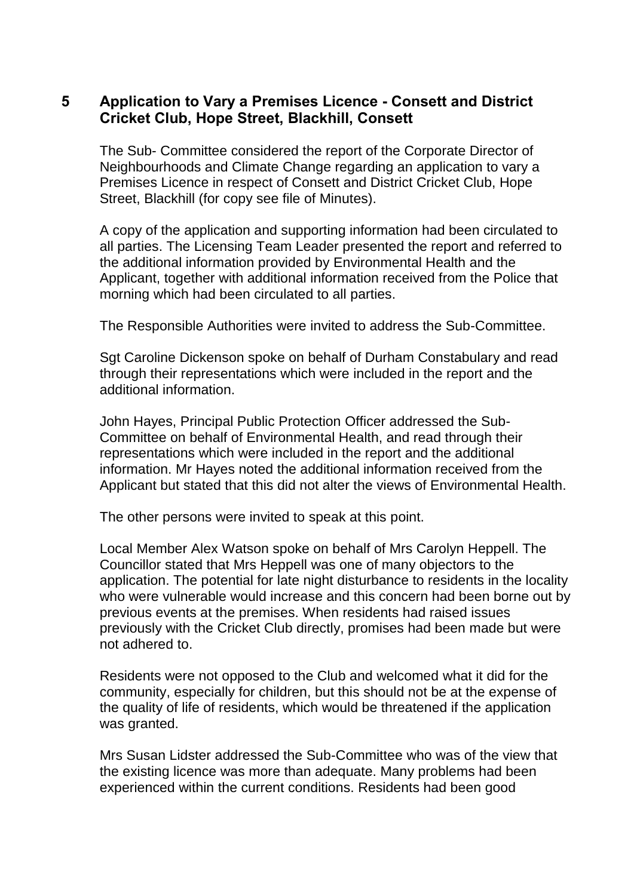# **5 Application to Vary a Premises Licence - Consett and District Cricket Club, Hope Street, Blackhill, Consett**

The Sub- Committee considered the report of the Corporate Director of Neighbourhoods and Climate Change regarding an application to vary a Premises Licence in respect of Consett and District Cricket Club, Hope Street, Blackhill (for copy see file of Minutes).

A copy of the application and supporting information had been circulated to all parties. The Licensing Team Leader presented the report and referred to the additional information provided by Environmental Health and the Applicant, together with additional information received from the Police that morning which had been circulated to all parties.

The Responsible Authorities were invited to address the Sub-Committee.

Sgt Caroline Dickenson spoke on behalf of Durham Constabulary and read through their representations which were included in the report and the additional information.

John Hayes, Principal Public Protection Officer addressed the Sub-Committee on behalf of Environmental Health, and read through their representations which were included in the report and the additional information. Mr Hayes noted the additional information received from the Applicant but stated that this did not alter the views of Environmental Health.

The other persons were invited to speak at this point.

Local Member Alex Watson spoke on behalf of Mrs Carolyn Heppell. The Councillor stated that Mrs Heppell was one of many objectors to the application. The potential for late night disturbance to residents in the locality who were vulnerable would increase and this concern had been borne out by previous events at the premises. When residents had raised issues previously with the Cricket Club directly, promises had been made but were not adhered to.

Residents were not opposed to the Club and welcomed what it did for the community, especially for children, but this should not be at the expense of the quality of life of residents, which would be threatened if the application was granted.

Mrs Susan Lidster addressed the Sub-Committee who was of the view that the existing licence was more than adequate. Many problems had been experienced within the current conditions. Residents had been good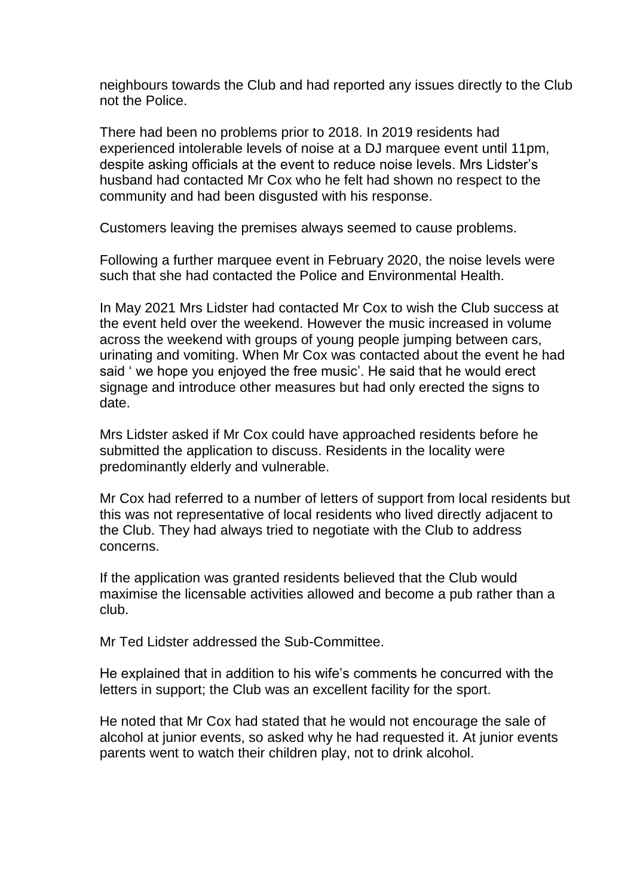neighbours towards the Club and had reported any issues directly to the Club not the Police.

There had been no problems prior to 2018. In 2019 residents had experienced intolerable levels of noise at a DJ marquee event until 11pm, despite asking officials at the event to reduce noise levels. Mrs Lidster's husband had contacted Mr Cox who he felt had shown no respect to the community and had been disgusted with his response.

Customers leaving the premises always seemed to cause problems.

Following a further marquee event in February 2020, the noise levels were such that she had contacted the Police and Environmental Health.

In May 2021 Mrs Lidster had contacted Mr Cox to wish the Club success at the event held over the weekend. However the music increased in volume across the weekend with groups of young people jumping between cars, urinating and vomiting. When Mr Cox was contacted about the event he had said ' we hope you enjoyed the free music'. He said that he would erect signage and introduce other measures but had only erected the signs to date.

Mrs Lidster asked if Mr Cox could have approached residents before he submitted the application to discuss. Residents in the locality were predominantly elderly and vulnerable.

Mr Cox had referred to a number of letters of support from local residents but this was not representative of local residents who lived directly adjacent to the Club. They had always tried to negotiate with the Club to address concerns.

If the application was granted residents believed that the Club would maximise the licensable activities allowed and become a pub rather than a club.

Mr Ted Lidster addressed the Sub-Committee.

He explained that in addition to his wife's comments he concurred with the letters in support; the Club was an excellent facility for the sport.

He noted that Mr Cox had stated that he would not encourage the sale of alcohol at junior events, so asked why he had requested it. At junior events parents went to watch their children play, not to drink alcohol.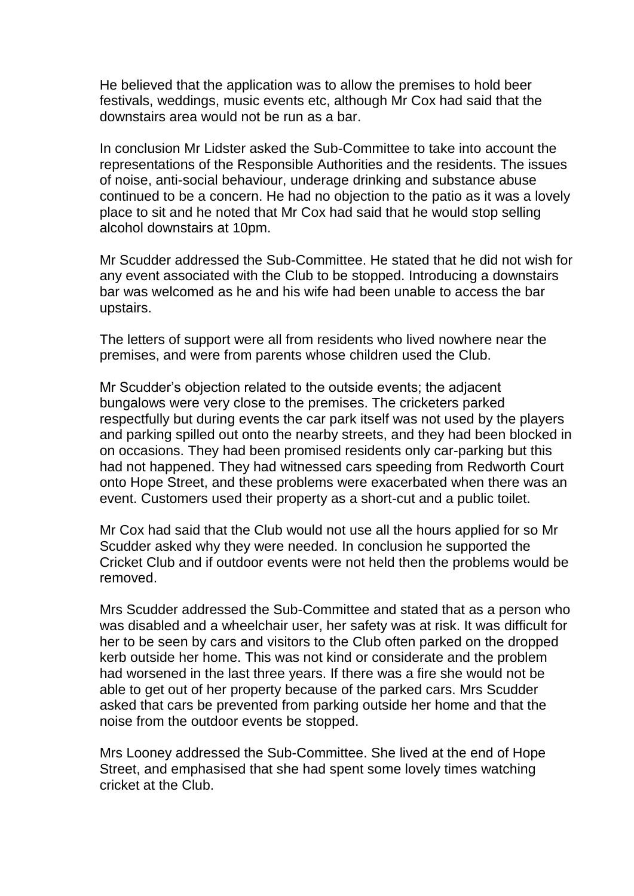He believed that the application was to allow the premises to hold beer festivals, weddings, music events etc, although Mr Cox had said that the downstairs area would not be run as a bar.

In conclusion Mr Lidster asked the Sub-Committee to take into account the representations of the Responsible Authorities and the residents. The issues of noise, anti-social behaviour, underage drinking and substance abuse continued to be a concern. He had no objection to the patio as it was a lovely place to sit and he noted that Mr Cox had said that he would stop selling alcohol downstairs at 10pm.

Mr Scudder addressed the Sub-Committee. He stated that he did not wish for any event associated with the Club to be stopped. Introducing a downstairs bar was welcomed as he and his wife had been unable to access the bar upstairs.

The letters of support were all from residents who lived nowhere near the premises, and were from parents whose children used the Club.

Mr Scudder's objection related to the outside events; the adjacent bungalows were very close to the premises. The cricketers parked respectfully but during events the car park itself was not used by the players and parking spilled out onto the nearby streets, and they had been blocked in on occasions. They had been promised residents only car-parking but this had not happened. They had witnessed cars speeding from Redworth Court onto Hope Street, and these problems were exacerbated when there was an event. Customers used their property as a short-cut and a public toilet.

Mr Cox had said that the Club would not use all the hours applied for so Mr Scudder asked why they were needed. In conclusion he supported the Cricket Club and if outdoor events were not held then the problems would be removed.

Mrs Scudder addressed the Sub-Committee and stated that as a person who was disabled and a wheelchair user, her safety was at risk. It was difficult for her to be seen by cars and visitors to the Club often parked on the dropped kerb outside her home. This was not kind or considerate and the problem had worsened in the last three years. If there was a fire she would not be able to get out of her property because of the parked cars. Mrs Scudder asked that cars be prevented from parking outside her home and that the noise from the outdoor events be stopped.

Mrs Looney addressed the Sub-Committee. She lived at the end of Hope Street, and emphasised that she had spent some lovely times watching cricket at the Club.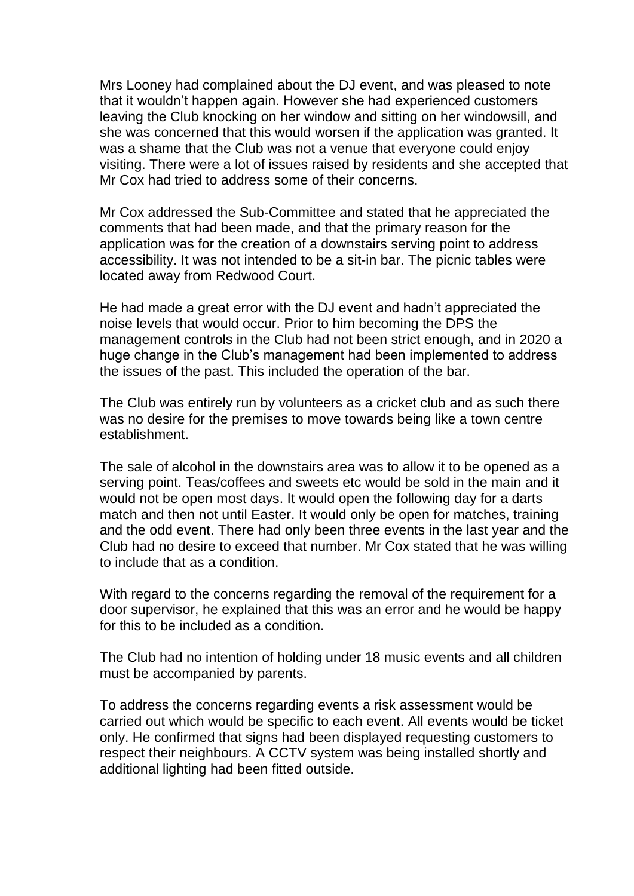Mrs Looney had complained about the DJ event, and was pleased to note that it wouldn't happen again. However she had experienced customers leaving the Club knocking on her window and sitting on her windowsill, and she was concerned that this would worsen if the application was granted. It was a shame that the Club was not a venue that everyone could enjoy visiting. There were a lot of issues raised by residents and she accepted that Mr Cox had tried to address some of their concerns.

Mr Cox addressed the Sub-Committee and stated that he appreciated the comments that had been made, and that the primary reason for the application was for the creation of a downstairs serving point to address accessibility. It was not intended to be a sit-in bar. The picnic tables were located away from Redwood Court.

He had made a great error with the DJ event and hadn't appreciated the noise levels that would occur. Prior to him becoming the DPS the management controls in the Club had not been strict enough, and in 2020 a huge change in the Club's management had been implemented to address the issues of the past. This included the operation of the bar.

The Club was entirely run by volunteers as a cricket club and as such there was no desire for the premises to move towards being like a town centre establishment.

The sale of alcohol in the downstairs area was to allow it to be opened as a serving point. Teas/coffees and sweets etc would be sold in the main and it would not be open most days. It would open the following day for a darts match and then not until Easter. It would only be open for matches, training and the odd event. There had only been three events in the last year and the Club had no desire to exceed that number. Mr Cox stated that he was willing to include that as a condition.

With regard to the concerns regarding the removal of the requirement for a door supervisor, he explained that this was an error and he would be happy for this to be included as a condition.

The Club had no intention of holding under 18 music events and all children must be accompanied by parents.

To address the concerns regarding events a risk assessment would be carried out which would be specific to each event. All events would be ticket only. He confirmed that signs had been displayed requesting customers to respect their neighbours. A CCTV system was being installed shortly and additional lighting had been fitted outside.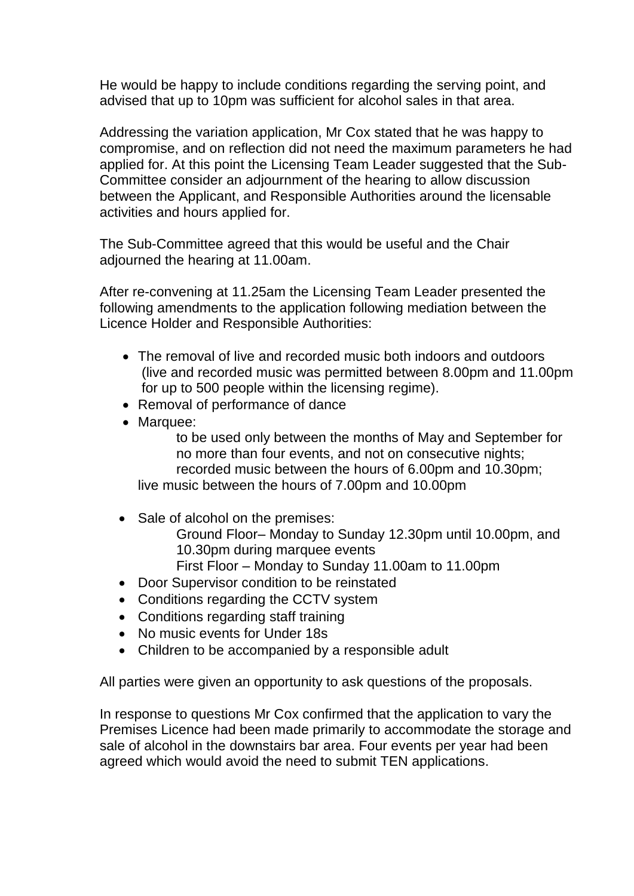He would be happy to include conditions regarding the serving point, and advised that up to 10pm was sufficient for alcohol sales in that area.

Addressing the variation application, Mr Cox stated that he was happy to compromise, and on reflection did not need the maximum parameters he had applied for. At this point the Licensing Team Leader suggested that the Sub-Committee consider an adjournment of the hearing to allow discussion between the Applicant, and Responsible Authorities around the licensable activities and hours applied for.

The Sub-Committee agreed that this would be useful and the Chair adjourned the hearing at 11.00am.

After re-convening at 11.25am the Licensing Team Leader presented the following amendments to the application following mediation between the Licence Holder and Responsible Authorities:

- The removal of live and recorded music both indoors and outdoors (live and recorded music was permitted between 8.00pm and 11.00pm for up to 500 people within the licensing regime).
- Removal of performance of dance
- Marquee:

to be used only between the months of May and September for no more than four events, and not on consecutive nights; recorded music between the hours of 6.00pm and 10.30pm; live music between the hours of 7.00pm and 10.00pm

• Sale of alcohol on the premises:

Ground Floor– Monday to Sunday 12.30pm until 10.00pm, and 10.30pm during marquee events

- First Floor Monday to Sunday 11.00am to 11.00pm
- Door Supervisor condition to be reinstated
- Conditions regarding the CCTV system
- Conditions regarding staff training
- No music events for Under 18s
- Children to be accompanied by a responsible adult

All parties were given an opportunity to ask questions of the proposals.

In response to questions Mr Cox confirmed that the application to vary the Premises Licence had been made primarily to accommodate the storage and sale of alcohol in the downstairs bar area. Four events per year had been agreed which would avoid the need to submit TEN applications.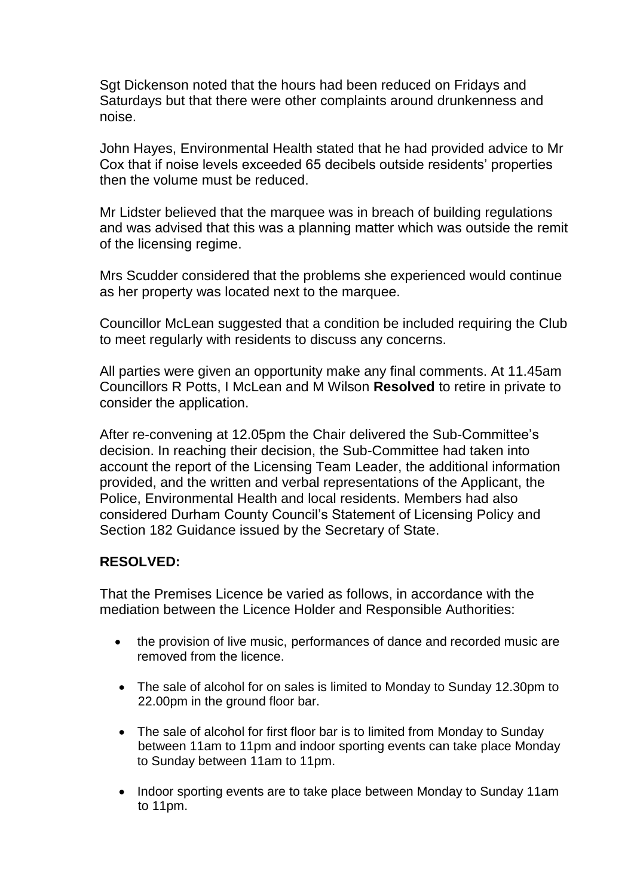Sgt Dickenson noted that the hours had been reduced on Fridays and Saturdays but that there were other complaints around drunkenness and noise.

John Hayes, Environmental Health stated that he had provided advice to Mr Cox that if noise levels exceeded 65 decibels outside residents' properties then the volume must be reduced.

Mr Lidster believed that the marquee was in breach of building regulations and was advised that this was a planning matter which was outside the remit of the licensing regime.

Mrs Scudder considered that the problems she experienced would continue as her property was located next to the marquee.

Councillor McLean suggested that a condition be included requiring the Club to meet regularly with residents to discuss any concerns.

All parties were given an opportunity make any final comments. At 11.45am Councillors R Potts, I McLean and M Wilson **Resolved** to retire in private to consider the application.

After re-convening at 12.05pm the Chair delivered the Sub-Committee's decision. In reaching their decision, the Sub-Committee had taken into account the report of the Licensing Team Leader, the additional information provided, and the written and verbal representations of the Applicant, the Police, Environmental Health and local residents. Members had also considered Durham County Council's Statement of Licensing Policy and Section 182 Guidance issued by the Secretary of State.

### **RESOLVED:**

That the Premises Licence be varied as follows, in accordance with the mediation between the Licence Holder and Responsible Authorities:

- the provision of live music, performances of dance and recorded music are removed from the licence.
- The sale of alcohol for on sales is limited to Monday to Sunday 12.30pm to 22.00pm in the ground floor bar.
- The sale of alcohol for first floor bar is to limited from Monday to Sunday between 11am to 11pm and indoor sporting events can take place Monday to Sunday between 11am to 11pm.
- Indoor sporting events are to take place between Monday to Sunday 11am to 11pm.